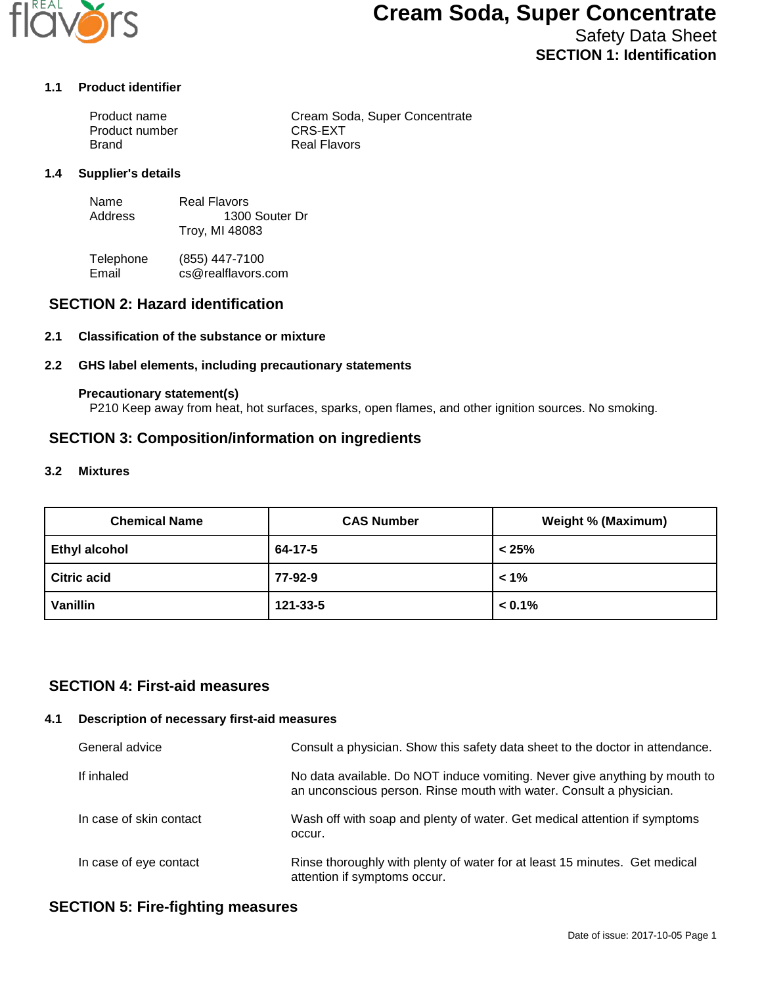

# **Cream Soda, Super Concentrate**

Safety Data Sheet **SECTION 1: Identification**

#### **1.1 Product identifier**

| Product name   | Cream Soda, Super Concentrate |
|----------------|-------------------------------|
| Product number | CRS-EXT                       |
| Brand          | <b>Real Flavors</b>           |

#### **1.4 Supplier's details**

| Name    | Real Flavors   |
|---------|----------------|
| Address | 1300 Souter Dr |
|         | Troy, MI 48083 |

Telephone (855) 447-7100<br>Email cs@realflavors. cs@realflavors.com

## **SECTION 2: Hazard identification**

#### **2.1 Classification of the substance or mixture**

#### **2.2 GHS label elements, including precautionary statements**

#### **Precautionary statement(s)**

P210 Keep away from heat, hot surfaces, sparks, open flames, and other ignition sources. No smoking.

## **SECTION 3: Composition/information on ingredients**

#### **3.2 Mixtures**

| <b>Chemical Name</b> | <b>CAS Number</b> | <b>Weight % (Maximum)</b> |
|----------------------|-------------------|---------------------------|
| <b>Ethyl alcohol</b> | 64-17-5           | < 25%                     |
| <b>Citric acid</b>   | 77-92-9           | $1\%$                     |
| Vanillin             | 121-33-5          | $< 0.1\%$                 |

## **SECTION 4: First-aid measures**

#### **4.1 Description of necessary first-aid measures**

| General advice          | Consult a physician. Show this safety data sheet to the doctor in attendance.                                                                     |
|-------------------------|---------------------------------------------------------------------------------------------------------------------------------------------------|
| If inhaled              | No data available. Do NOT induce vomiting. Never give anything by mouth to<br>an unconscious person. Rinse mouth with water. Consult a physician. |
| In case of skin contact | Wash off with soap and plenty of water. Get medical attention if symptoms<br>occur.                                                               |
| In case of eye contact  | Rinse thoroughly with plenty of water for at least 15 minutes. Get medical<br>attention if symptoms occur.                                        |

## **SECTION 5: Fire-fighting measures**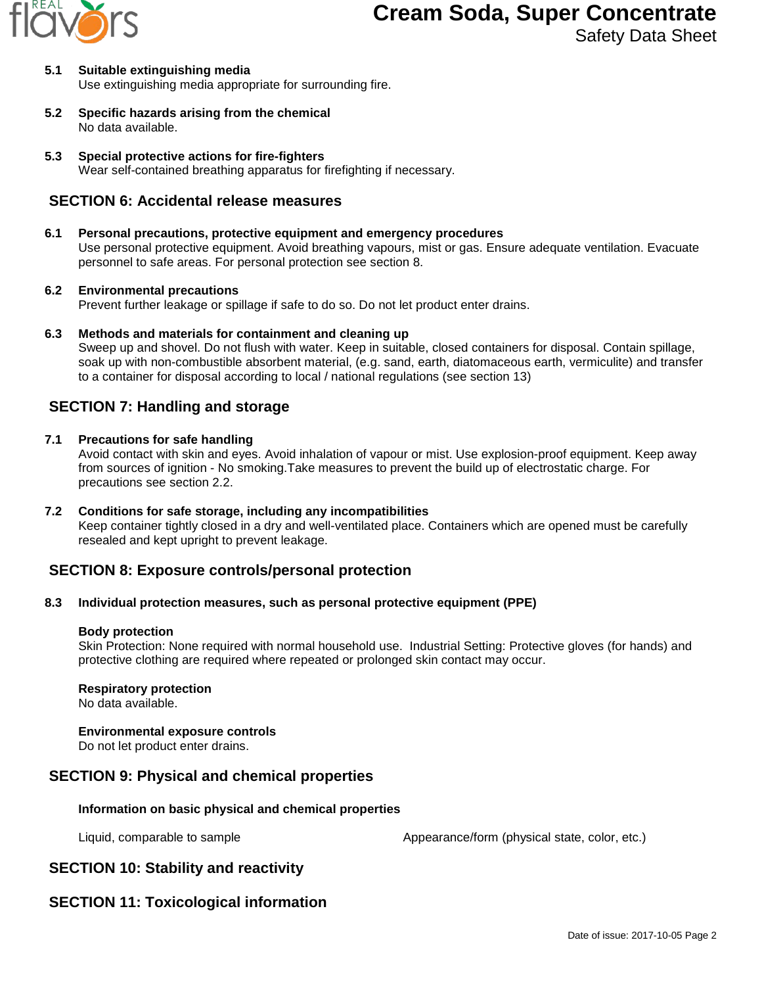

# **Cream Soda, Super Concentrate**

Safety Data Sheet

#### **5.1 Suitable extinguishing media** Use extinguishing media appropriate for surrounding fire.

- **5.2 Specific hazards arising from the chemical** No data available.
- **5.3 Special protective actions for fire-fighters** Wear self-contained breathing apparatus for firefighting if necessary.

## **SECTION 6: Accidental release measures**

## **6.1 Personal precautions, protective equipment and emergency procedures**

Use personal protective equipment. Avoid breathing vapours, mist or gas. Ensure adequate ventilation. Evacuate personnel to safe areas. For personal protection see section 8.

### **6.2 Environmental precautions**

Prevent further leakage or spillage if safe to do so. Do not let product enter drains.

**6.3 Methods and materials for containment and cleaning up**

Sweep up and shovel. Do not flush with water. Keep in suitable, closed containers for disposal. Contain spillage, soak up with non-combustible absorbent material, (e.g. sand, earth, diatomaceous earth, vermiculite) and transfer to a container for disposal according to local / national regulations (see section 13)

## **SECTION 7: Handling and storage**

### **7.1 Precautions for safe handling**

Avoid contact with skin and eyes. Avoid inhalation of vapour or mist. Use explosion-proof equipment. Keep away from sources of ignition - No smoking.Take measures to prevent the build up of electrostatic charge. For precautions see section 2.2.

**7.2 Conditions for safe storage, including any incompatibilities** Keep container tightly closed in a dry and well-ventilated place. Containers which are opened must be carefully resealed and kept upright to prevent leakage.

# **SECTION 8: Exposure controls/personal protection**

### **8.3 Individual protection measures, such as personal protective equipment (PPE)**

### **Body protection**

Skin Protection: None required with normal household use. Industrial Setting: Protective gloves (for hands) and protective clothing are required where repeated or prolonged skin contact may occur.

### **Respiratory protection**

No data available.

### **Environmental exposure controls**

Do not let product enter drains.

## **SECTION 9: Physical and chemical properties**

### **Information on basic physical and chemical properties**

Liquid, comparable to sample  $\blacksquare$  Appearance/form (physical state, color, etc.)

# **SECTION 10: Stability and reactivity**

# **SECTION 11: Toxicological information**